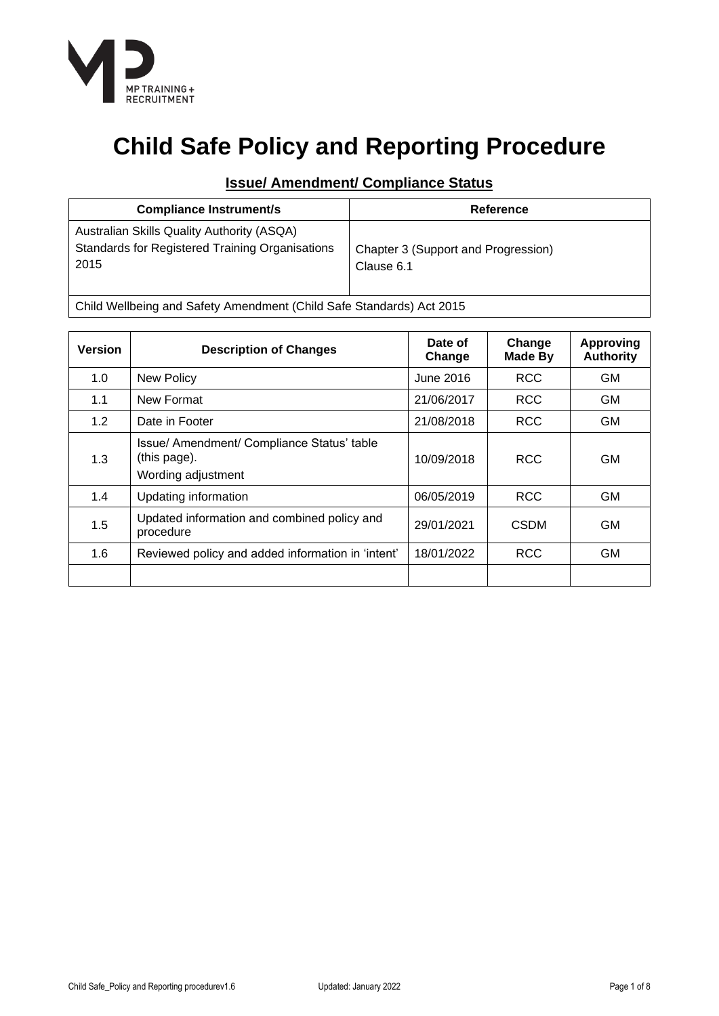

# **Child Safe Policy and Reporting Procedure**

## **Issue/ Amendment/ Compliance Status**

| <b>Compliance Instrument/s</b>                                                                               | Reference                                         |
|--------------------------------------------------------------------------------------------------------------|---------------------------------------------------|
| Australian Skills Quality Authority (ASQA)<br><b>Standards for Registered Training Organisations</b><br>2015 | Chapter 3 (Support and Progression)<br>Clause 6.1 |

Child Wellbeing and Safety Amendment (Child Safe Standards) Act 2015

| <b>Version</b> | <b>Description of Changes</b>                                                    | Date of<br>Change | Change<br><b>Made By</b> | <b>Approving</b><br><b>Authority</b> |
|----------------|----------------------------------------------------------------------------------|-------------------|--------------------------|--------------------------------------|
| 1.0            | <b>New Policy</b>                                                                | June 2016         | <b>RCC</b>               | <b>GM</b>                            |
| 1.1            | New Format                                                                       | 21/06/2017        | <b>RCC</b>               | <b>GM</b>                            |
| 1.2            | Date in Footer                                                                   | 21/08/2018        | <b>RCC</b>               | <b>GM</b>                            |
| 1.3            | Issue/ Amendment/ Compliance Status' table<br>(this page).<br>Wording adjustment | 10/09/2018        | <b>RCC</b>               | GM.                                  |
| 1.4            | Updating information                                                             | 06/05/2019        | <b>RCC</b>               | <b>GM</b>                            |
| 1.5            | Updated information and combined policy and<br>procedure                         | 29/01/2021        | <b>CSDM</b>              | <b>GM</b>                            |
| 1.6            | Reviewed policy and added information in 'intent'                                | 18/01/2022        | <b>RCC</b>               | <b>GM</b>                            |
|                |                                                                                  |                   |                          |                                      |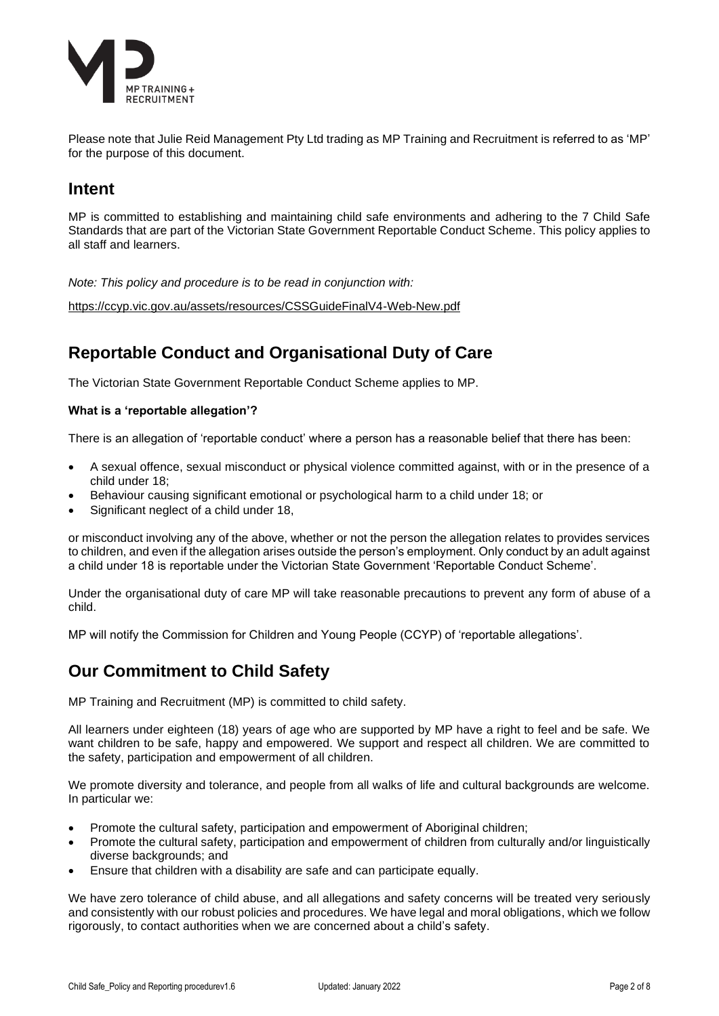

Please note that Julie Reid Management Pty Ltd trading as MP Training and Recruitment is referred to as 'MP' for the purpose of this document.

# **Intent**

MP is committed to establishing and maintaining child safe environments and adhering to the 7 Child Safe Standards that are part of the Victorian State Government Reportable Conduct Scheme. This policy applies to all staff and learners.

*Note: This policy and procedure is to be read in conjunction with:* 

<https://ccyp.vic.gov.au/assets/resources/CSSGuideFinalV4-Web-New.pdf>

# **Reportable Conduct and Organisational Duty of Care**

The Victorian State Government Reportable Conduct Scheme applies to MP.

#### **What is a 'reportable allegation'?**

There is an allegation of 'reportable conduct' where a person has a reasonable belief that there has been:

- A sexual offence, sexual misconduct or physical violence committed against, with or in the presence of a child under 18;
- Behaviour causing significant emotional or psychological harm to a child under 18; or
- Significant neglect of a child under 18,

or misconduct involving any of the above, whether or not the person the allegation relates to provides services to children, and even if the allegation arises outside the person's employment. Only conduct by an adult against a child under 18 is reportable under the Victorian State Government 'Reportable Conduct Scheme'.

Under the organisational duty of care MP will take reasonable precautions to prevent any form of abuse of a child.

MP will notify the Commission for Children and Young People (CCYP) of 'reportable allegations'.

## **Our Commitment to Child Safety**

MP Training and Recruitment (MP) is committed to child safety.

All learners under eighteen (18) years of age who are supported by MP have a right to feel and be safe. We want children to be safe, happy and empowered. We support and respect all children. We are committed to the safety, participation and empowerment of all children.

We promote diversity and tolerance, and people from all walks of life and cultural backgrounds are welcome. In particular we:

- Promote the cultural safety, participation and empowerment of Aboriginal children;
- Promote the cultural safety, participation and empowerment of children from culturally and/or linguistically diverse backgrounds; and
- Ensure that children with a disability are safe and can participate equally.

We have zero tolerance of child abuse, and all allegations and safety concerns will be treated very seriously and consistently with our robust policies and procedures. We have legal and moral obligations, which we follow rigorously, to contact authorities when we are concerned about a child's safety.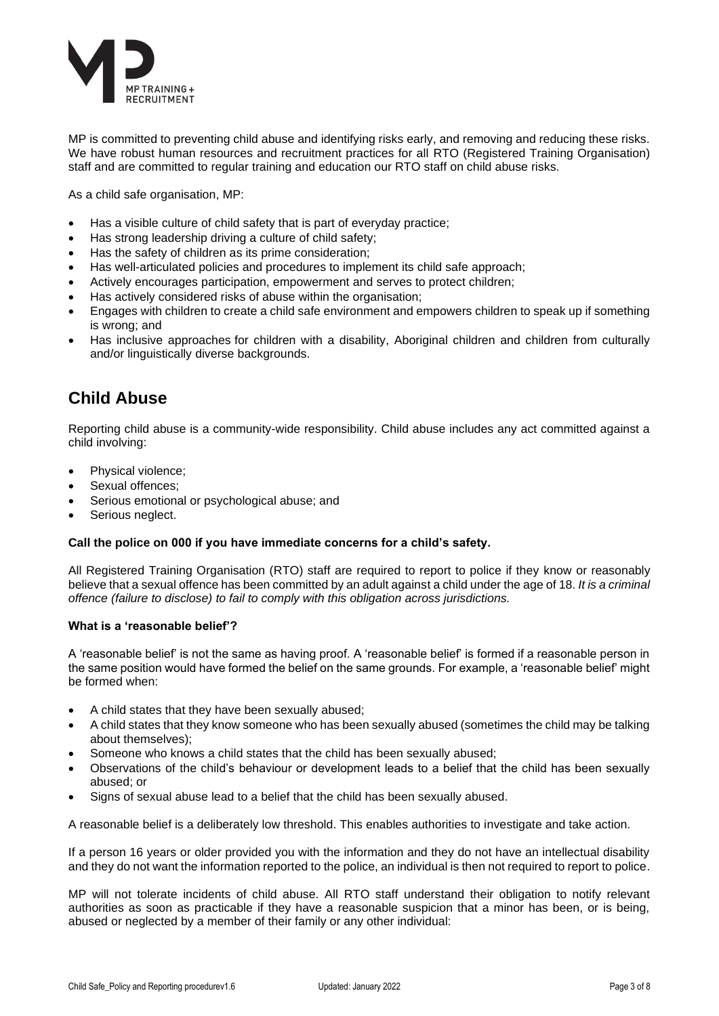

MP is committed to preventing child abuse and identifying risks early, and removing and reducing these risks. We have robust human resources and recruitment practices for all RTO (Registered Training Organisation) staff and are committed to regular training and education our RTO staff on child abuse risks.

As a child safe organisation, MP:

- Has a visible culture of child safety that is part of everyday practice;
- Has strong leadership driving a culture of child safety;
- Has the safety of children as its prime consideration;
- Has well-articulated policies and procedures to implement its child safe approach;
- Actively encourages participation, empowerment and serves to protect children;
- Has actively considered risks of abuse within the organisation;
- Engages with children to create a child safe environment and empowers children to speak up if something is wrong; and
- Has inclusive approaches for children with a disability, Aboriginal children and children from culturally and/or linguistically diverse backgrounds.

# **Child Abuse**

Reporting child abuse is a community-wide responsibility. Child abuse includes any act committed against a child involving:

- Physical violence;
- Sexual offences;
- Serious emotional or psychological abuse; and
- Serious neglect.

#### **Call the police on 000 if you have immediate concerns for a child's safety.**

All Registered Training Organisation (RTO) staff are required to report to police if they know or reasonably believe that a sexual offence has been committed by an adult against a child under the age of 18. *It is a criminal offence (failure to disclose) to fail to comply with this obligation across jurisdictions.*

#### **What is a 'reasonable belief'?**

A 'reasonable belief' is not the same as having proof. A 'reasonable belief' is formed if a reasonable person in the same position would have formed the belief on the same grounds. For example, a 'reasonable belief' might be formed when:

- A child states that they have been sexually abused;
- A child states that they know someone who has been sexually abused (sometimes the child may be talking about themselves);
- Someone who knows a child states that the child has been sexually abused;
- Observations of the child's behaviour or development leads to a belief that the child has been sexually abused; or
- Signs of sexual abuse lead to a belief that the child has been sexually abused.

A reasonable belief is a deliberately low threshold. This enables authorities to investigate and take action.

If a person 16 years or older provided you with the information and they do not have an intellectual disability and they do not want the information reported to the police, an individual is then not required to report to police.

MP will not tolerate incidents of child abuse. All RTO staff understand their obligation to notify relevant authorities as soon as practicable if they have a reasonable suspicion that a minor has been, or is being, abused or neglected by a member of their family or any other individual: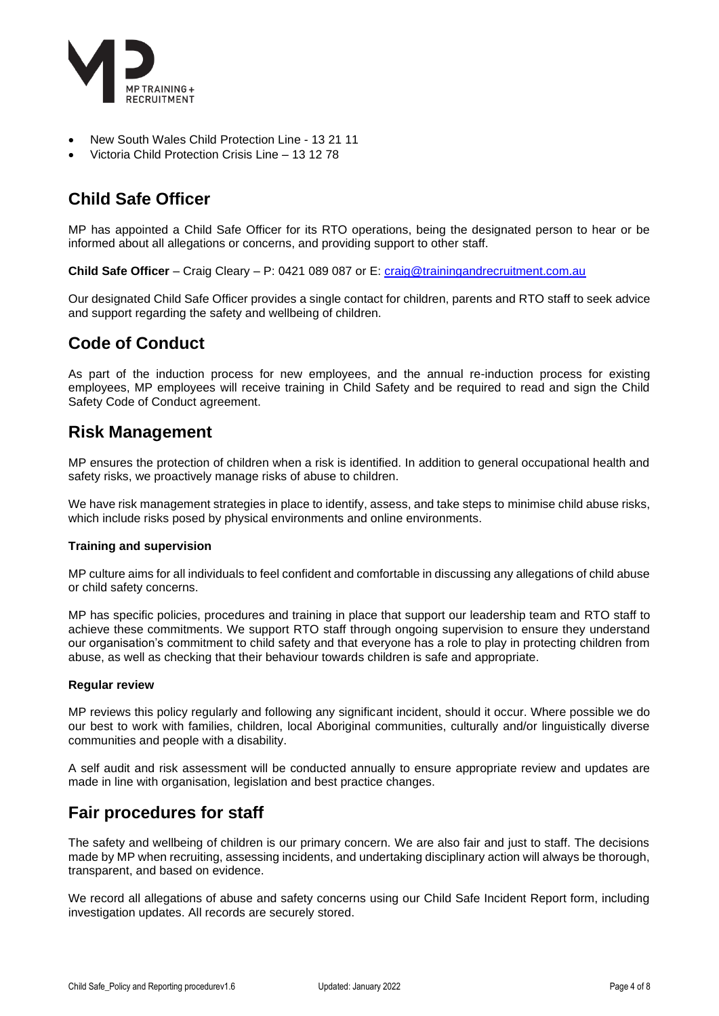

- New South Wales Child Protection Line 13 21 11
- Victoria Child Protection Crisis Line 13 12 78

# **Child Safe Officer**

MP has appointed a Child Safe Officer for its RTO operations, being the designated person to hear or be informed about all allegations or concerns, and providing support to other staff.

**Child Safe Officer** – Craig Cleary – P: 0421 089 087 or E: [craig@trainingandrecruitment.com.au](mailto:craig@trainingandrecruitment.com.au)

Our designated Child Safe Officer provides a single contact for children, parents and RTO staff to seek advice and support regarding the safety and wellbeing of children.

# **Code of Conduct**

As part of the induction process for new employees, and the annual re-induction process for existing employees, MP employees will receive training in Child Safety and be required to read and sign the Child Safety Code of Conduct agreement.

## **Risk Management**

MP ensures the protection of children when a risk is identified. In addition to general occupational health and safety risks, we proactively manage risks of abuse to children.

We have risk management strategies in place to identify, assess, and take steps to minimise child abuse risks, which include risks posed by physical environments and online environments.

#### **Training and supervision**

MP culture aims for all individuals to feel confident and comfortable in discussing any allegations of child abuse or child safety concerns.

MP has specific policies, procedures and training in place that support our leadership team and RTO staff to achieve these commitments. We support RTO staff through ongoing supervision to ensure they understand our organisation's commitment to child safety and that everyone has a role to play in protecting children from abuse, as well as checking that their behaviour towards children is safe and appropriate.

#### **Regular review**

MP reviews this policy regularly and following any significant incident, should it occur. Where possible we do our best to work with families, children, local Aboriginal communities, culturally and/or linguistically diverse communities and people with a disability.

A self audit and risk assessment will be conducted annually to ensure appropriate review and updates are made in line with organisation, legislation and best practice changes.

### **Fair procedures for staff**

The safety and wellbeing of children is our primary concern. We are also fair and just to staff. The decisions made by MP when recruiting, assessing incidents, and undertaking disciplinary action will always be thorough, transparent, and based on evidence.

We record all allegations of abuse and safety concerns using our Child Safe Incident Report form, including investigation updates. All records are securely stored.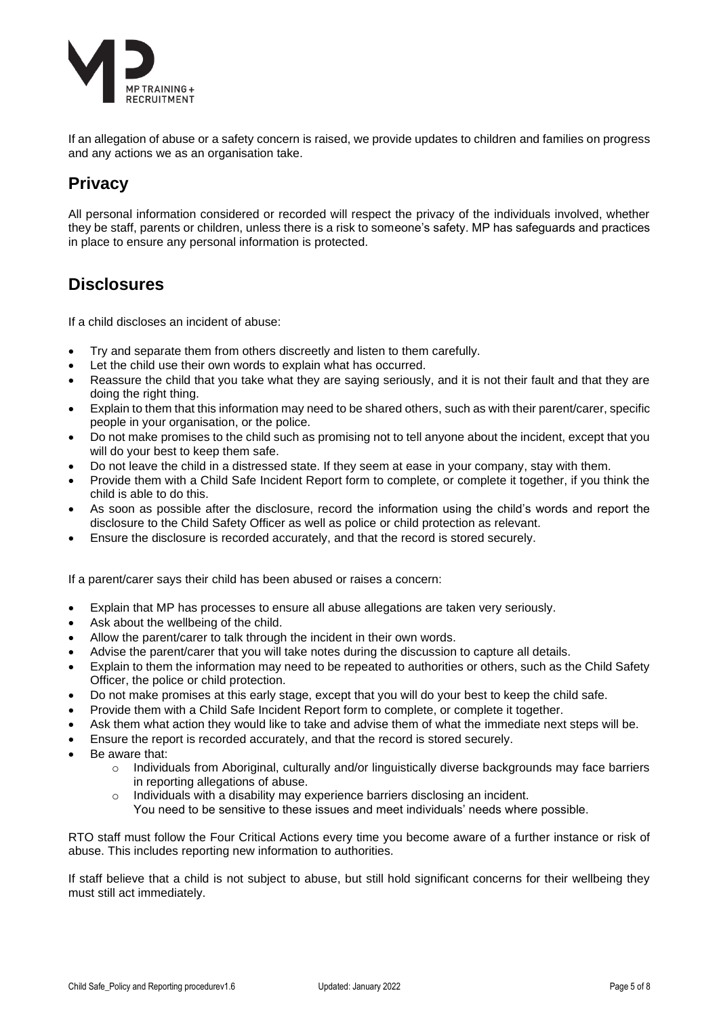

If an allegation of abuse or a safety concern is raised, we provide updates to children and families on progress and any actions we as an organisation take.

# **Privacy**

All personal information considered or recorded will respect the privacy of the individuals involved, whether they be staff, parents or children, unless there is a risk to someone's safety. MP has safeguards and practices in place to ensure any personal information is protected.

## **Disclosures**

If a child discloses an incident of abuse:

- Try and separate them from others discreetly and listen to them carefully.
- Let the child use their own words to explain what has occurred.
- Reassure the child that you take what they are saying seriously, and it is not their fault and that they are doing the right thing.
- Explain to them that this information may need to be shared others, such as with their parent/carer, specific people in your organisation, or the police.
- Do not make promises to the child such as promising not to tell anyone about the incident, except that you will do your best to keep them safe.
- Do not leave the child in a distressed state. If they seem at ease in your company, stay with them.
- Provide them with a Child Safe Incident Report form to complete, or complete it together, if you think the child is able to do this.
- As soon as possible after the disclosure, record the information using the child's words and report the disclosure to the Child Safety Officer as well as police or child protection as relevant.
- Ensure the disclosure is recorded accurately, and that the record is stored securely.

If a parent/carer says their child has been abused or raises a concern:

- Explain that MP has processes to ensure all abuse allegations are taken very seriously.
- Ask about the wellbeing of the child.
- Allow the parent/carer to talk through the incident in their own words.
- Advise the parent/carer that you will take notes during the discussion to capture all details.
- Explain to them the information may need to be repeated to authorities or others, such as the Child Safety Officer, the police or child protection.
- Do not make promises at this early stage, except that you will do your best to keep the child safe.
- Provide them with a Child Safe Incident Report form to complete, or complete it together.
- Ask them what action they would like to take and advise them of what the immediate next steps will be.
- Ensure the report is recorded accurately, and that the record is stored securely.
- Be aware that:
	- o Individuals from Aboriginal, culturally and/or linguistically diverse backgrounds may face barriers in reporting allegations of abuse.
	- $\circ$  Individuals with a disability may experience barriers disclosing an incident.
		- You need to be sensitive to these issues and meet individuals' needs where possible.

RTO staff must follow the Four Critical Actions every time you become aware of a further instance or risk of abuse. This includes reporting new information to authorities.

If staff believe that a child is not subject to abuse, but still hold significant concerns for their wellbeing they must still act immediately.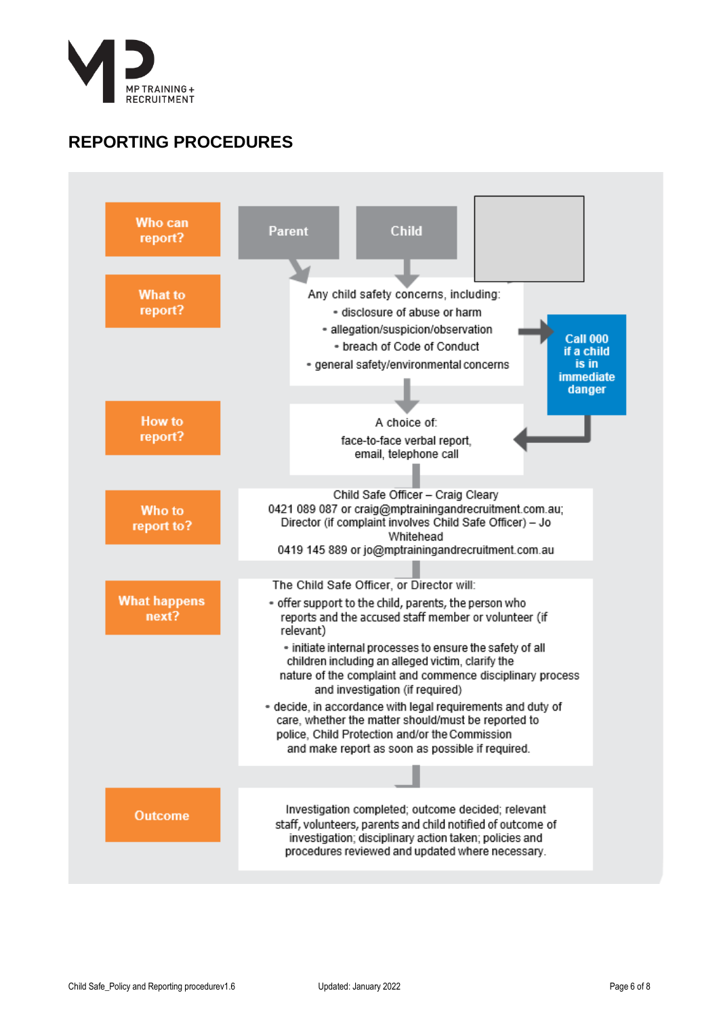

# **REPORTING PROCEDURES**

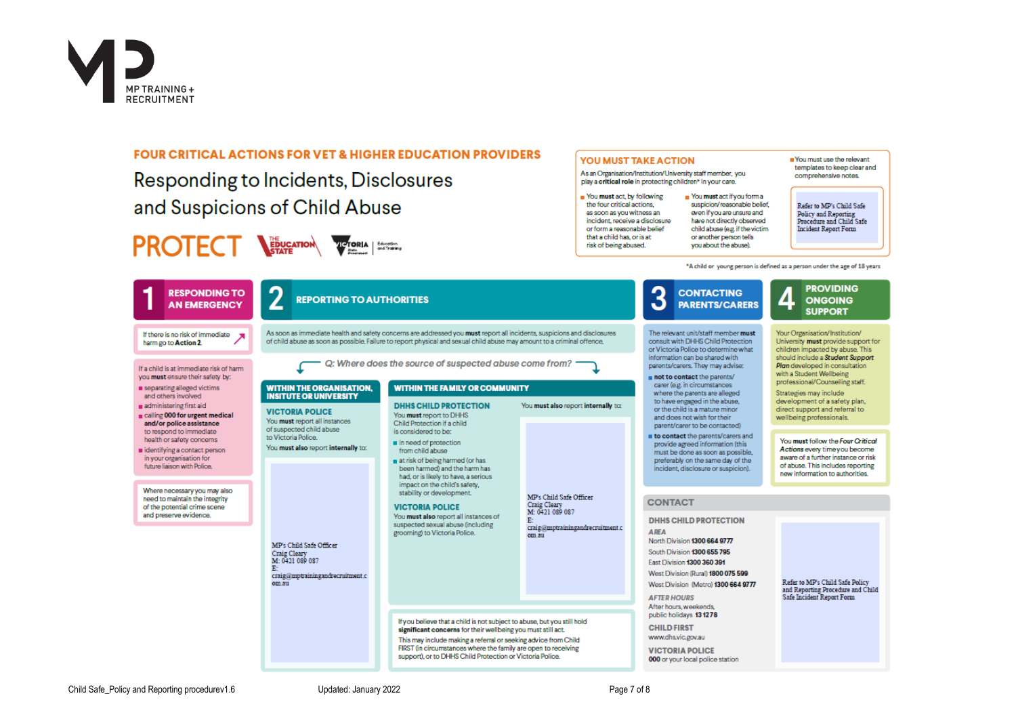

#### **FOUR CRITICAL ACTIONS FOR VET & HIGHER EDUCATION PROVIDERS**

Responding to Incidents, Disclosures and Suspicions of Child Abuse

# **PROTECT WEIGHTON WORLD | ENTERNAL | ENTERNAL | ENTERNAL | ENTERNAL | ENTERNAL | ENTERNAL | ENTERNAL | ENTERNAL | ENTERNAL | ENTERNAL | ENTERNAL | ENTERNAL | ENTERNAL | ENTERNAL | ENTERNAL | ENTERNAL | ENTERNAL | ENTERNAL**

#### **YOU MUST TAKE ACTION**

As an Organisation/Institution/University staff member vou play a critical role in protecting children\* in your care.

Nou must act if you form a

suspicion/reasonable belief

even if you are unsure and

have not directly observed

child abuse (e.g. if the victim

or another person tells

you about the abuse).

Nou must act, by following the four critical actions as soon as you witness an incident, receive a disclosure or form a rassonable belief that a child has, or is at risk of being abused.

#### templates to keep clear and comprehensive notes.

Refer to MP's Child Safe Policy and Reporting **Procedure and Child Safe Incident Report Form** 

Nou must use the relevant

"A child or young person is defined as a person under the age of 18 years